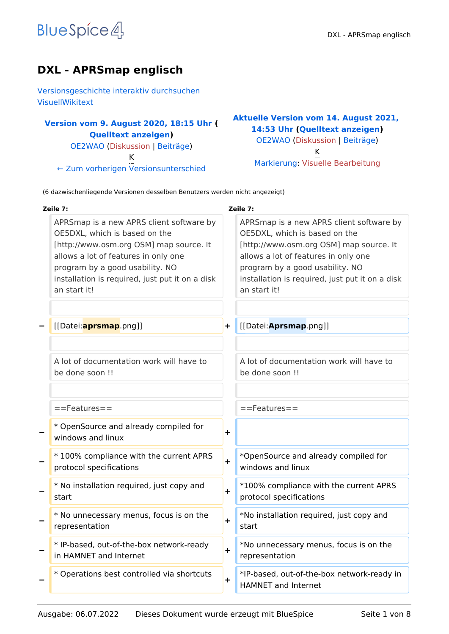# **DXL - APRSmap englisch**

[Versionsgeschichte interaktiv durchsuchen](https://wiki.oevsv.at) [VisuellWikitext](https://wiki.oevsv.at)

### **[Version vom 9. August 2020, 18:15 Uhr](https://wiki.oevsv.at/w/index.php?title=DXL_-_APRSmap_englisch&oldid=15568) ( [Quelltext anzeigen](https://wiki.oevsv.at/w/index.php?title=DXL_-_APRSmap_englisch&action=edit&oldid=15568))** [OE2WAO](https://wiki.oevsv.at/wiki/Benutzer:OE2WAO) ([Diskussion](https://wiki.oevsv.at/w/index.php?title=Benutzer_Diskussion:OE2WAO&action=view) | [Beiträge](https://wiki.oevsv.at/wiki/Spezial:Beitr%C3%A4ge/OE2WAO)) K

[← Zum vorherigen Versionsunterschied](https://wiki.oevsv.at/w/index.php?title=DXL_-_APRSmap_englisch&diff=prev&oldid=15568)

#### **[Aktuelle Version vom 14. August 2021,](https://wiki.oevsv.at/w/index.php?title=DXL_-_APRSmap_englisch&oldid=19010)  [14:53 Uhr](https://wiki.oevsv.at/w/index.php?title=DXL_-_APRSmap_englisch&oldid=19010) [\(Quelltext anzeigen\)](https://wiki.oevsv.at/w/index.php?title=DXL_-_APRSmap_englisch&action=edit)** [OE2WAO](https://wiki.oevsv.at/wiki/Benutzer:OE2WAO) [\(Diskussion](https://wiki.oevsv.at/w/index.php?title=Benutzer_Diskussion:OE2WAO&action=view) | [Beiträge\)](https://wiki.oevsv.at/wiki/Spezial:Beitr%C3%A4ge/OE2WAO) K [Markierung](https://wiki.oevsv.at/wiki/Spezial:Markierungen): [Visuelle Bearbeitung](https://wiki.oevsv.at/w/index.php?title=Project:VisualEditor&action=view)

(6 dazwischenliegende Versionen desselben Benutzers werden nicht angezeigt)

| Zeile 7:                                                                                                                                                                                                                                                           |           | Zeile 7:                                                                                                                                                                                                                                                           |
|--------------------------------------------------------------------------------------------------------------------------------------------------------------------------------------------------------------------------------------------------------------------|-----------|--------------------------------------------------------------------------------------------------------------------------------------------------------------------------------------------------------------------------------------------------------------------|
| APRSmap is a new APRS client software by<br>OE5DXL, which is based on the<br>[http://www.osm.org OSM] map source. It<br>allows a lot of features in only one<br>program by a good usability. NO<br>installation is required, just put it on a disk<br>an start it! |           | APRSmap is a new APRS client software by<br>OE5DXL, which is based on the<br>[http://www.osm.org OSM] map source. It<br>allows a lot of features in only one<br>program by a good usability. NO<br>installation is required, just put it on a disk<br>an start it! |
| [[Datei: <b>aprsmap</b> .png]]                                                                                                                                                                                                                                     | $\ddot{}$ | [[Datei: Aprsmap.png]]                                                                                                                                                                                                                                             |
| A lot of documentation work will have to<br>be done soon !!                                                                                                                                                                                                        |           | A lot of documentation work will have to<br>be done soon !!                                                                                                                                                                                                        |
| ==Features==                                                                                                                                                                                                                                                       |           | $==$ Features $==$                                                                                                                                                                                                                                                 |
| * OpenSource and already compiled for<br>windows and linux                                                                                                                                                                                                         | $\ddot{}$ |                                                                                                                                                                                                                                                                    |
| *100% compliance with the current APRS<br>protocol specifications                                                                                                                                                                                                  | $\ddot{}$ | *OpenSource and already compiled for<br>windows and linux                                                                                                                                                                                                          |
| * No installation required, just copy and<br>start                                                                                                                                                                                                                 | $\ddot{}$ | *100% compliance with the current APRS<br>protocol specifications                                                                                                                                                                                                  |
| * No unnecessary menus, focus is on the<br>representation                                                                                                                                                                                                          | $\ddot{}$ | *No installation required, just copy and<br>start                                                                                                                                                                                                                  |
| * IP-based, out-of-the-box network-ready<br>in HAMNET and Internet                                                                                                                                                                                                 | $\pm$     | *No unnecessary menus, focus is on the<br>representation                                                                                                                                                                                                           |
| * Operations best controlled via shortcuts                                                                                                                                                                                                                         | $\pm$     | *IP-based, out-of-the-box network-ready in<br>HAMNET and Internet                                                                                                                                                                                                  |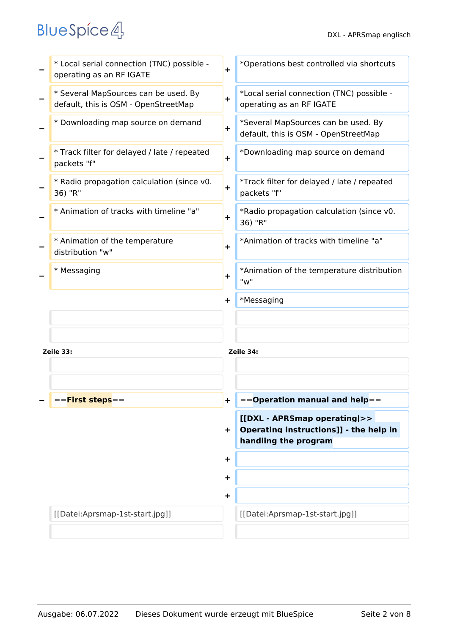|           | * Local serial connection (TNC) possible -<br>operating as an RF IGATE       | $\ddot{}$ | *Operations best controlled via shortcuts                                   |
|-----------|------------------------------------------------------------------------------|-----------|-----------------------------------------------------------------------------|
|           | * Several MapSources can be used. By<br>default, this is OSM - OpenStreetMap | $\ddot{}$ | *Local serial connection (TNC) possible -<br>operating as an RF IGATE       |
|           | * Downloading map source on demand                                           | $\ddot{}$ | *Several MapSources can be used. By<br>default, this is OSM - OpenStreetMap |
|           | * Track filter for delayed / late / repeated<br>packets "f"                  | $\ddot{}$ | *Downloading map source on demand                                           |
|           | * Radio propagation calculation (since v0.<br>36) "R"                        | $\ddot{}$ | *Track filter for delayed / late / repeated<br>packets "f"                  |
|           | * Animation of tracks with timeline "a"                                      | $\ddot{}$ | *Radio propagation calculation (since v0.<br>36) "R"                        |
|           | * Animation of the temperature<br>distribution "w"                           | $\ddot{}$ | *Animation of tracks with timeline "a"                                      |
|           | * Messaging                                                                  | $\ddot{}$ | *Animation of the temperature distribution<br>"w"                           |
|           |                                                                              | $\ddot{}$ | *Messaging                                                                  |
|           |                                                                              |           |                                                                             |
| Zeile 33: |                                                                              |           | Zeile 34:                                                                   |
|           |                                                                              |           |                                                                             |
|           |                                                                              |           |                                                                             |
|           | == <b>First steps</b> ==                                                     | $\pm$     | $=$ =Operation manual and help==                                            |
|           |                                                                              |           | [[DXL - APRSmap operating >><br>Operating instructions]] - the help in      |
|           |                                                                              | ÷.        | handling the program                                                        |
|           |                                                                              | $\ddot{}$ |                                                                             |
|           |                                                                              | $\ddot{}$ |                                                                             |
|           |                                                                              | $\ddot{}$ |                                                                             |
|           | [[Datei:Aprsmap-1st-start.jpg]]                                              |           | [[Datei:Aprsmap-1st-start.jpg]]                                             |
|           |                                                                              |           |                                                                             |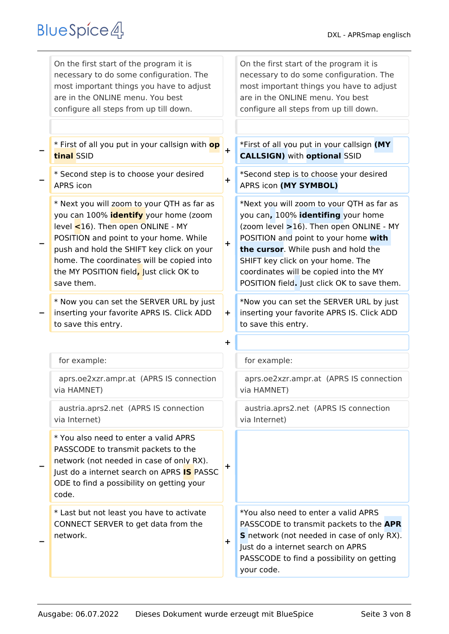| On the first start of the program it is<br>necessary to do some configuration. The<br>most important things you have to adjust<br>are in the ONLINE menu. You best<br>configure all steps from up till down.                                                                                                                       |            | On the first start of the program it is<br>necessary to do some configuration. The<br>most important things you have to adjust<br>are in the ONLINE menu. You best<br>configure all steps from up till down.                                                                                                                            |
|------------------------------------------------------------------------------------------------------------------------------------------------------------------------------------------------------------------------------------------------------------------------------------------------------------------------------------|------------|-----------------------------------------------------------------------------------------------------------------------------------------------------------------------------------------------------------------------------------------------------------------------------------------------------------------------------------------|
| * First of all you put in your callsign with <b>op</b><br>tinal SSID                                                                                                                                                                                                                                                               | $\ddot{}$  | *First of all you put in your callsign (MY<br><b>CALLSIGN)</b> with <b>optional</b> SSID                                                                                                                                                                                                                                                |
| * Second step is to choose your desired<br><b>APRS</b> icon                                                                                                                                                                                                                                                                        | $\ddot{}$  | *Second step is to choose your desired<br>APRS icon (MY SYMBOL)                                                                                                                                                                                                                                                                         |
| * Next you will zoom to your QTH as far as<br>you can 100% <i>identify</i> your home (zoom<br>level $\leq$ 16). Then open ONLINE - MY<br>POSITION and point to your home. While<br>push and hold the SHIFT key click on your<br>home. The coordinates will be copied into<br>the MY POSITION field, Just click OK to<br>save them. | $\ddagger$ | *Next you will zoom to your QTH as far as<br>you can, 100% identifing your home<br>(zoom level >16). Then open ONLINE - MY<br>POSITION and point to your home with<br>the cursor. While push and hold the<br>SHIFT key click on your home. The<br>coordinates will be copied into the MY<br>POSITION field. Just click OK to save them. |
| * Now you can set the SERVER URL by just<br>inserting your favorite APRS IS. Click ADD<br>to save this entry.                                                                                                                                                                                                                      | $+$        | *Now you can set the SERVER URL by just<br>inserting your favorite APRS IS. Click ADD<br>to save this entry.                                                                                                                                                                                                                            |
|                                                                                                                                                                                                                                                                                                                                    | ┿          |                                                                                                                                                                                                                                                                                                                                         |
| for example:                                                                                                                                                                                                                                                                                                                       |            | for example:                                                                                                                                                                                                                                                                                                                            |
| aprs.oe2xzr.ampr.at (APRS IS connection<br>via HAMNET)                                                                                                                                                                                                                                                                             |            | aprs.oe2xzr.ampr.at (APRS IS connection<br>via HAMNET)                                                                                                                                                                                                                                                                                  |
| austria.aprs2.net (APRS IS connection<br>via Internet)                                                                                                                                                                                                                                                                             |            | austria.aprs2.net (APRS IS connection<br>via Internet)                                                                                                                                                                                                                                                                                  |
| * You also need to enter a valid APRS<br>PASSCODE to transmit packets to the<br>network (not needed in case of only RX).<br>Just do a internet search on APRS <b>IS</b> PASSC<br>ODE to find a possibility on getting your<br>code.                                                                                                | +          |                                                                                                                                                                                                                                                                                                                                         |
| * Last but not least you have to activate<br>CONNECT SERVER to get data from the<br>network.                                                                                                                                                                                                                                       | ÷.         | *You also need to enter a valid APRS<br>PASSCODE to transmit packets to the APR<br>S network (not needed in case of only RX).<br>Just do a internet search on APRS<br>PASSCODE to find a possibility on getting<br>your code.                                                                                                           |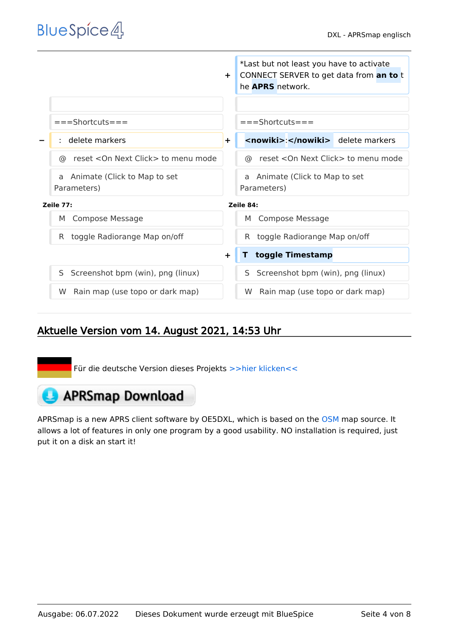|                                      | *Last but not least you have to activate<br>CONNECT SERVER to get data from an to t<br>$\ddot{}$<br>he <b>APRS</b> network. |
|--------------------------------------|-----------------------------------------------------------------------------------------------------------------------------|
|                                      |                                                                                                                             |
| $===Shortcuts ==$                    | $===Shortcuts===$                                                                                                           |
| delete markers                       | <nowiki>:</nowiki> delete markers<br>÷.                                                                                     |
| reset < On Next Click > to menu mode | reset < On Next Click > to menu mode                                                                                        |
| ര                                    | ര                                                                                                                           |
| Animate (Click to Map to set         | Animate (Click to Map to set                                                                                                |
| a                                    | a                                                                                                                           |
| Parameters)                          | Parameters)                                                                                                                 |
| Zeile 77:                            | Zeile 84:                                                                                                                   |
| <b>Compose Message</b>               | <b>Compose Message</b>                                                                                                      |
| M                                    | M                                                                                                                           |
| toggle Radiorange Map on/off         | toggle Radiorange Map on/off                                                                                                |
| R.                                   | R.                                                                                                                          |
|                                      | toggle Timestamp<br>$\ddot{}$                                                                                               |
| Screenshot bpm (win), png (linux)    | Screenshot bpm (win), png (linux)                                                                                           |
| S                                    | S.                                                                                                                          |
| Rain map (use topo or dark map)      | Rain map (use topo or dark map)                                                                                             |
| W.                                   | W.                                                                                                                          |

## Aktuelle Version vom 14. August 2021, 14:53 Uhr

Für die deutsche Version dieses Projekts [>>hier klicken<<](https://wiki.oevsv.at/wiki/DXL_-_APRSmap)

# **APRSmap Download**

APRSmap is a new APRS client software by OE5DXL, which is based on the [OSM](http://www.osm.org) map source. It allows a lot of features in only one program by a good usability. NO installation is required, just put it on a disk an start it!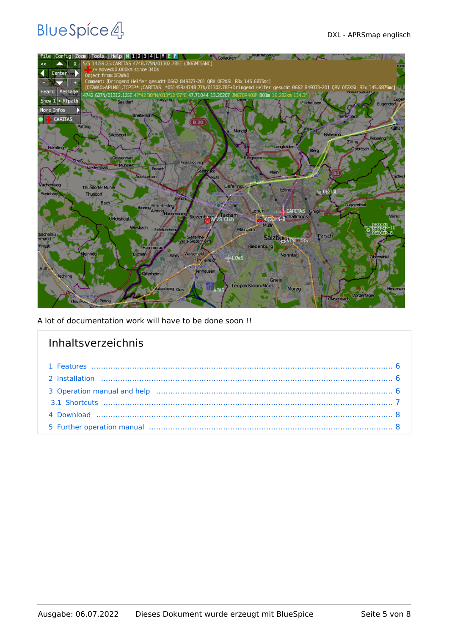

A lot of documentation work will have to be done soon !!

| Inhaltsverzeichnis |  |
|--------------------|--|
|                    |  |
|                    |  |
|                    |  |
|                    |  |
|                    |  |
|                    |  |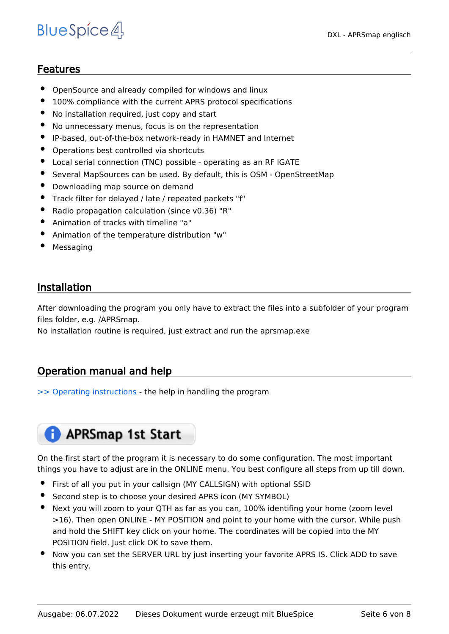### <span id="page-5-0"></span>Features

- OpenSource and already compiled for windows and linux
- 100% compliance with the current APRS protocol specifications
- No installation required, just copy and start
- No unnecessary menus, focus is on the representation
- IP-based, out-of-the-box network-ready in HAMNET and Internet
- Operations best controlled via shortcuts
- Local serial connection (TNC) possible operating as an RF IGATE
- Several MapSources can be used. By default, this is OSM OpenStreetMap
- Downloading map source on demand
- Track filter for delayed / late / repeated packets "f"
- Radio propagation calculation (since v0.36) "R"
- Animation of tracks with timeline "a"
- Animation of the temperature distribution "w"
- Messaging

### <span id="page-5-1"></span>Installation

After downloading the program you only have to extract the files into a subfolder of your program files folder, e.g. /APRSmap.

No installation routine is required, just extract and run the aprsmap.exe

### <span id="page-5-2"></span>Operation manual and help

[>> Operating instructions](https://wiki.oevsv.at/wiki/DXL_-_APRSmap_operating) - the help in handling the program

# **APRSmap 1st Start**

On the first start of the program it is necessary to do some configuration. The most important things you have to adjust are in the ONLINE menu. You best configure all steps from up till down.

- First of all you put in your callsign (MY CALLSIGN) with optional SSID
- Second step is to choose your desired APRS icon (MY SYMBOL)
- Next you will zoom to your QTH as far as you can, 100% identifing your home (zoom level >16). Then open ONLINE - MY POSITION and point to your home with the cursor. While push and hold the SHIFT key click on your home. The coordinates will be copied into the MY POSITION field. Just click OK to save them.
- Now you can set the SERVER URL by just inserting your favorite APRS IS. Click ADD to save this entry.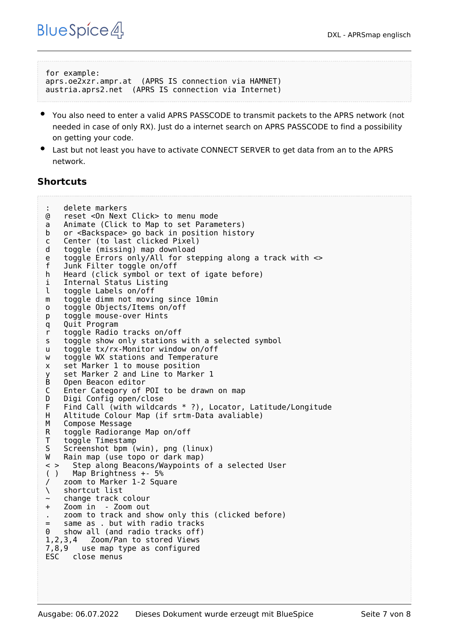```
for example:
aprs.oe2xzr.ampr.at (APRS IS connection via HAMNET)
austria.aprs2.net (APRS IS connection via Internet)
```
- You also need to enter a valid APRS PASSCODE to transmit packets to the APRS network (not needed in case of only RX). Just do a internet search on APRS PASSCODE to find a possibility on getting your code.
- Last but not least you have to activate CONNECT SERVER to get data from an to the APRS network.

### <span id="page-6-0"></span>**Shortcuts**

```
: delete markers
@ reset <On Next Click> to menu mode
a Animate (Click to Map to set Parameters)
b or <Backspace> go back in position history
c Center (to last clicked Pixel)
d toggle (missing) map download
e toggle Errors only/All for stepping along a track with <>
f Junk Filter toggle on/off
h Heard (click symbol or text of igate before)
i Internal Status Listing
l toggle Labels on/off
m toggle dimm not moving since 10min
o toggle Objects/Items on/off
p toggle mouse-over Hints
q Quit Program
r toggle Radio tracks on/off
s toggle show only stations with a selected symbol
u toggle tx/rx-Monitor window on/off
w toggle WX stations and Temperature
x set Marker 1 to mouse position
y set Marker 2 and Line to Marker 1
B Open Beacon editor<br>C Enter Category of
C Enter Category of POI to be drawn on map
D Digi Config open/close<br>F Find Call (with wildca
F Find Call (with wildcards * ?), Locator, Latitude/Longitude<br>H Altitude Colour Map (if srtm-Data avaliable)
H Altitude Colour Map (if srtm-Data avaliable)
M Compose Message<br>R toggle Radiorano
    toggle Radiorange Map on/off
T toggle Timestamp<br>S Screenshot bpm (
S Screenshot bpm (win), png (linux)<br>W Rain map (use topo or dark map)
W Rain map (use topo or dark map)<br>
\leq > Step along Beacons/Wavpoints
      Step along Beacons/Waypoints of a selected User
( ) Map Brightness +- 5%
    zoom to Marker 1-2 Square
\ shortcut list
    ~ change track colour
+ Zoom in - Zoom out
    . zoom to track and show only this (clicked before)
= same as . but with radio tracks
0 show all (and radio tracks off)
1,2,3,4 Zoom/Pan to stored Views
7,8,9 use map type as configured
      close menus
```